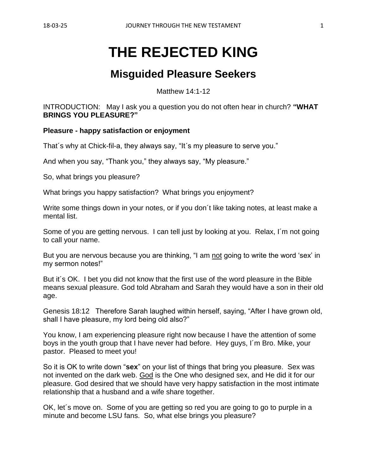# **THE REJECTED KING**

# **Misguided Pleasure Seekers**

Matthew 14:1-12

INTRODUCTION: May I ask you a question you do not often hear in church? **"WHAT BRINGS YOU PLEASURE?"**

#### **Pleasure - happy satisfaction or enjoyment**

That´s why at Chick-fil-a, they always say, "It´s my pleasure to serve you."

And when you say, "Thank you," they always say, "My pleasure."

So, what brings you pleasure?

What brings you happy satisfaction? What brings you enjoyment?

Write some things down in your notes, or if you don´t like taking notes, at least make a mental list.

Some of you are getting nervous. I can tell just by looking at you. Relax, I´m not going to call your name.

But you are nervous because you are thinking, "I am not going to write the word 'sex' in my sermon notes!"

But it's OK. I bet you did not know that the first use of the word pleasure in the Bible means sexual pleasure. God told Abraham and Sarah they would have a son in their old age.

Genesis 18:12 Therefore Sarah laughed within herself, saying, "After I have grown old, shall I have pleasure, my lord being old also?"

You know, I am experiencing pleasure right now because I have the attention of some boys in the youth group that I have never had before. Hey guys, I´m Bro. Mike, your pastor. Pleased to meet you!

So it is OK to write down "**sex**" on your list of things that bring you pleasure. Sex was not invented on the dark web. God is the One who designed sex, and He did it for our pleasure. God desired that we should have very happy satisfaction in the most intimate relationship that a husband and a wife share together.

OK, let´s move on. Some of you are getting so red you are going to go to purple in a minute and become LSU fans. So, what else brings you pleasure?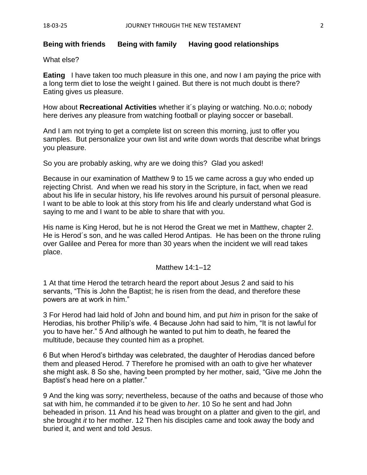#### **Being with friends Being with family Having good relationships**

What else?

**Eating** I have taken too much pleasure in this one, and now I am paying the price with a long term diet to lose the weight I gained. But there is not much doubt is there? Eating gives us pleasure.

How about **Recreational Activities** whether it´s playing or watching. No.o.o; nobody here derives any pleasure from watching football or playing soccer or baseball.

And I am not trying to get a complete list on screen this morning, just to offer you samples. But personalize your own list and write down words that describe what brings you pleasure.

So you are probably asking, why are we doing this? Glad you asked!

Because in our examination of Matthew 9 to 15 we came across a guy who ended up rejecting Christ. And when we read his story in the Scripture, in fact, when we read about his life in secular history, his life revolves around his pursuit of personal pleasure. I want to be able to look at this story from his life and clearly understand what God is saying to me and I want to be able to share that with you.

His name is King Herod, but he is not Herod the Great we met in Matthew, chapter 2. He is Herod´s son, and he was called Herod Antipas. He has been on the throne ruling over Galilee and Perea for more than 30 years when the incident we will read takes place.

Matthew 14:1–12

1 At that time Herod the tetrarch heard the report about Jesus 2 and said to his servants, "This is John the Baptist; he is risen from the dead, and therefore these powers are at work in him."

3 For Herod had laid hold of John and bound him, and put *him* in prison for the sake of Herodias, his brother Philip's wife. 4 Because John had said to him, "It is not lawful for you to have her." 5 And although he wanted to put him to death, he feared the multitude, because they counted him as a prophet.

6 But when Herod's birthday was celebrated, the daughter of Herodias danced before them and pleased Herod. 7 Therefore he promised with an oath to give her whatever she might ask. 8 So she, having been prompted by her mother, said, "Give me John the Baptist's head here on a platter."

9 And the king was sorry; nevertheless, because of the oaths and because of those who sat with him, he commanded *it* to be given to *her*. 10 So he sent and had John beheaded in prison. 11 And his head was brought on a platter and given to the girl, and she brought *it* to her mother. 12 Then his disciples came and took away the body and buried it, and went and told Jesus.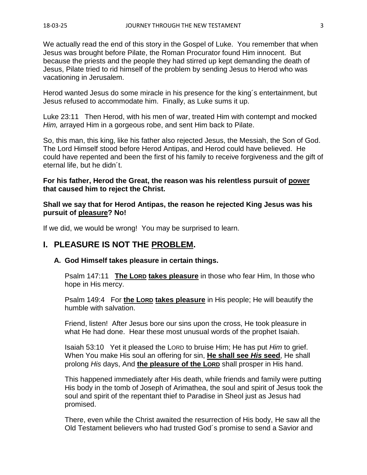We actually read the end of this story in the Gospel of Luke. You remember that when Jesus was brought before Pilate, the Roman Procurator found Him innocent. But because the priests and the people they had stirred up kept demanding the death of Jesus, Pilate tried to rid himself of the problem by sending Jesus to Herod who was vacationing in Jerusalem.

Herod wanted Jesus do some miracle in his presence for the king´s entertainment, but Jesus refused to accommodate him. Finally, as Luke sums it up.

Luke 23:11 Then Herod, with his men of war, treated Him with contempt and mocked *Him,* arrayed Him in a gorgeous robe, and sent Him back to Pilate.

So, this man, this king, like his father also rejected Jesus, the Messiah, the Son of God. The Lord Himself stood before Herod Antipas, and Herod could have believed. He could have repented and been the first of his family to receive forgiveness and the gift of eternal life, but he didn´t.

#### **For his father, Herod the Great, the reason was his relentless pursuit of power that caused him to reject the Christ.**

**Shall we say that for Herod Antipas, the reason he rejected King Jesus was his pursuit of pleasure? No!**

If we did, we would be wrong! You may be surprised to learn.

#### **I. PLEASURE IS NOT THE PROBLEM.**

#### **A. God Himself takes pleasure in certain things.**

Psalm 147:11 **The LORD takes pleasure** in those who fear Him, In those who hope in His mercy.

Psalm 149:4 For **the LORD takes pleasure** in His people; He will beautify the humble with salvation.

Friend, listen! After Jesus bore our sins upon the cross, He took pleasure in what He had done. Hear these most unusual words of the prophet Isaiah.

Isaiah 53:10 Yet it pleased the LORD to bruise Him; He has put *Him* to grief. When You make His soul an offering for sin, **He shall see** *His* **seed**, He shall prolong *His* days, And **the pleasure of the LORD** shall prosper in His hand.

This happened immediately after His death, while friends and family were putting His body in the tomb of Joseph of Arimathea, the soul and spirit of Jesus took the soul and spirit of the repentant thief to Paradise in Sheol just as Jesus had promised.

There, even while the Christ awaited the resurrection of His body, He saw all the Old Testament believers who had trusted God´s promise to send a Savior and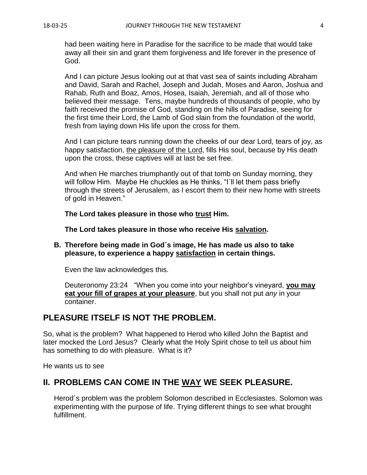had been waiting here in Paradise for the sacrifice to be made that would take away all their sin and grant them forgiveness and life forever in the presence of God.

And I can picture Jesus looking out at that vast sea of saints including Abraham and David, Sarah and Rachel, Joseph and Judah, Moses and Aaron, Joshua and Rahab, Ruth and Boaz, Amos, Hosea, Isaiah, Jeremiah, and all of those who believed their message. Tens, maybe hundreds of thousands of people, who by faith received the promise of God, standing on the hills of Paradise, seeing for the first time their Lord, the Lamb of God slain from the foundation of the world, fresh from laying down His life upon the cross for them.

And I can picture tears running down the cheeks of our dear Lord, tears of joy, as happy satisfaction, the pleasure of the Lord, fills His soul, because by His death upon the cross, these captives will at last be set free.

And when He marches triumphantly out of that tomb on Sunday morning, they will follow Him. Maybe He chuckles as He thinks, "I'll let them pass briefly through the streets of Jerusalem, as I escort them to their new home with streets of gold in Heaven."

**The Lord takes pleasure in those who trust Him.**

**The Lord takes pleasure in those who receive His salvation.**

**B. Therefore being made in God´s image, He has made us also to take pleasure, to experience a happy satisfaction in certain things.**

Even the law acknowledges this.

Deuteronomy 23:24 "When you come into your neighbor's vineyard, **you may eat your fill of grapes at your pleasure**, but you shall not put *any* in your container.

### **PLEASURE ITSELF IS NOT THE PROBLEM.**

So, what is the problem? What happened to Herod who killed John the Baptist and later mocked the Lord Jesus? Clearly what the Holy Spirit chose to tell us about him has something to do with pleasure. What is it?

He wants us to see

#### **II. PROBLEMS CAN COME IN THE WAY WE SEEK PLEASURE.**

Herod´s problem was the problem Solomon described in Ecclesiastes. Solomon was experimenting with the purpose of life. Trying different things to see what brought fulfillment.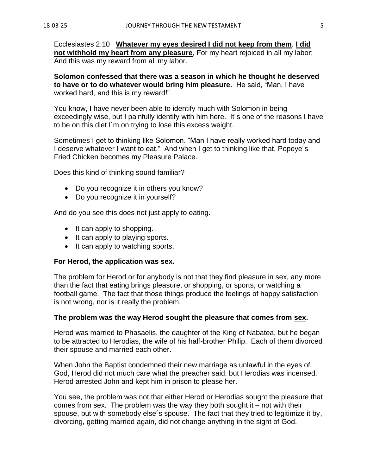Ecclesiastes 2:10 **Whatever my eyes desired I did not keep from them**. **I did not withhold my heart from any pleasure**, For my heart rejoiced in all my labor; And this was my reward from all my labor.

**Solomon confessed that there was a season in which he thought he deserved to have or to do whatever would bring him pleasure.** He said, "Man, I have worked hard, and this is my reward!"

You know, I have never been able to identify much with Solomon in being exceedingly wise, but I painfully identify with him here. It´s one of the reasons I have to be on this diet I´m on trying to lose this excess weight.

Sometimes I get to thinking like Solomon. "Man I have really worked hard today and I deserve whatever I want to eat." And when I get to thinking like that, Popeye´s Fried Chicken becomes my Pleasure Palace.

Does this kind of thinking sound familiar?

- Do you recognize it in others you know?
- Do you recognize it in yourself?

And do you see this does not just apply to eating.

- It can apply to shopping.
- It can apply to playing sports.
- It can apply to watching sports.

#### **For Herod, the application was sex.**

The problem for Herod or for anybody is not that they find pleasure in sex, any more than the fact that eating brings pleasure, or shopping, or sports, or watching a football game. The fact that those things produce the feelings of happy satisfaction is not wrong, nor is it really the problem.

#### **The problem was the way Herod sought the pleasure that comes from sex.**

Herod was married to Phasaelis, the daughter of the King of Nabatea, but he began to be attracted to Herodias, the wife of his half-brother Philip. Each of them divorced their spouse and married each other.

When John the Baptist condemned their new marriage as unlawful in the eyes of God, Herod did not much care what the preacher said, but Herodias was incensed. Herod arrested John and kept him in prison to please her.

You see, the problem was not that either Herod or Herodias sought the pleasure that comes from sex. The problem was the way they both sought it  $-$  not with their spouse, but with somebody else´s spouse. The fact that they tried to legitimize it by, divorcing, getting married again, did not change anything in the sight of God.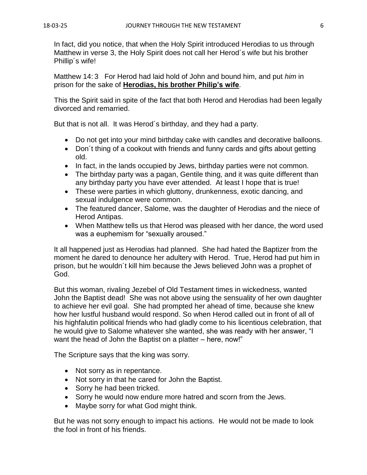In fact, did you notice, that when the Holy Spirit introduced Herodias to us through Matthew in verse 3, the Holy Spirit does not call her Herod´s wife but his brother Phillip´s wife!

Matthew 14: 3 For Herod had laid hold of John and bound him, and put *him* in prison for the sake of **Herodias, his brother Philip's wife**.

This the Spirit said in spite of the fact that both Herod and Herodias had been legally divorced and remarried.

But that is not all. It was Herod´s birthday, and they had a party.

- Do not get into your mind birthday cake with candles and decorative balloons.
- Don't thing of a cookout with friends and funny cards and gifts about getting old.
- In fact, in the lands occupied by Jews, birthday parties were not common.
- The birthday party was a pagan, Gentile thing, and it was quite different than any birthday party you have ever attended. At least I hope that is true!
- These were parties in which gluttony, drunkenness, exotic dancing, and sexual indulgence were common.
- The featured dancer, Salome, was the daughter of Herodias and the niece of Herod Antipas.
- When Matthew tells us that Herod was pleased with her dance, the word used was a euphemism for "sexually aroused."

It all happened just as Herodias had planned. She had hated the Baptizer from the moment he dared to denounce her adultery with Herod. True, Herod had put him in prison, but he wouldn´t kill him because the Jews believed John was a prophet of God.

But this woman, rivaling Jezebel of Old Testament times in wickedness, wanted John the Baptist dead! She was not above using the sensuality of her own daughter to achieve her evil goal. She had prompted her ahead of time, because she knew how her lustful husband would respond. So when Herod called out in front of all of his highfalutin political friends who had gladly come to his licentious celebration, that he would give to Salome whatever she wanted, she was ready with her answer, "I want the head of John the Baptist on a platter – here, now!"

The Scripture says that the king was sorry.

- Not sorry as in repentance.
- Not sorry in that he cared for John the Baptist.
- Sorry he had been tricked.
- Sorry he would now endure more hatred and scorn from the Jews.
- Maybe sorry for what God might think.

But he was not sorry enough to impact his actions. He would not be made to look the fool in front of his friends.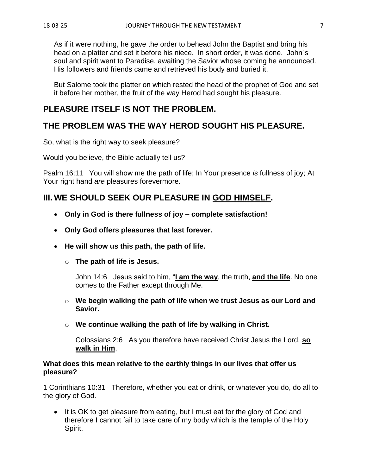As if it were nothing, he gave the order to behead John the Baptist and bring his head on a platter and set it before his niece. In short order, it was done. John´s soul and spirit went to Paradise, awaiting the Savior whose coming he announced. His followers and friends came and retrieved his body and buried it.

But Salome took the platter on which rested the head of the prophet of God and set it before her mother, the fruit of the way Herod had sought his pleasure.

# **PLEASURE ITSELF IS NOT THE PROBLEM.**

# **THE PROBLEM WAS THE WAY HEROD SOUGHT HIS PLEASURE.**

So, what is the right way to seek pleasure?

Would you believe, the Bible actually tell us?

Psalm 16:11 You will show me the path of life; In Your presence *is* fullness of joy; At Your right hand *are* pleasures forevermore.

## **III. WE SHOULD SEEK OUR PLEASURE IN GOD HIMSELF.**

- **Only in God is there fullness of joy – complete satisfaction!**
- **Only God offers pleasures that last forever.**
- **He will show us this path, the path of life.**
	- o **The path of life is Jesus.**

John 14:6 Jesus said to him, "**I am the way**, the truth, **and the life**. No one comes to the Father except through Me.

- o **We begin walking the path of life when we trust Jesus as our Lord and Savior.**
- o **We continue walking the path of life by walking in Christ.**

Colossians 2:6 As you therefore have received Christ Jesus the Lord, **so walk in Him**,

#### **What does this mean relative to the earthly things in our lives that offer us pleasure?**

1 Corinthians 10:31 Therefore, whether you eat or drink, or whatever you do, do all to the glory of God.

• It is OK to get pleasure from eating, but I must eat for the glory of God and therefore I cannot fail to take care of my body which is the temple of the Holy Spirit.